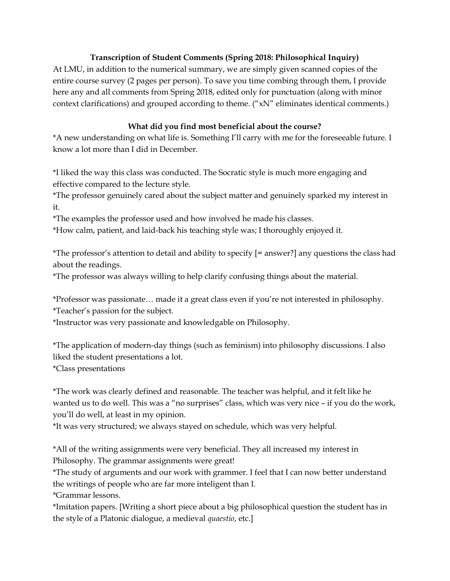### Transcription of Student Comments (Spring 2018: Philosophical Inquiry)

At LMU, in addition to the numerical summary, we are simply given scanned copies of the entire course survey (2 pages per person). To save you time combing through them, I provide here any and all comments from Spring 2018, edited only for punctuation (along with minor context clarifications) and grouped according to theme. ("xN" eliminates identical comments.)

### What did you find most beneficial about the course?

\*A new understanding on what life is. Something I'll carry with me for the foreseeable future. I know a lot more than I did in December.

\*I liked the way this class was conducted. The Socratic style is much more engaging and effective compared to the lecture style.

\*The professor genuinely cared about the subject matter and genuinely sparked my interest in it.

\*The examples the professor used and how involved he made his classes.

\*How calm, patient, and laid-back his teaching style was; I thoroughly enjoyed it.

\*The professor's attention to detail and ability to specify [= answer?] any questions the class had about the readings.

\*The professor was always willing to help clarify confusing things about the material.

\*Professor was passionate… made it a great class even if you're not interested in philosophy. \*Teacher's passion for the subject.

\*Instructor was very passionate and knowledgable on Philosophy.

\*The application of modern-day things (such as feminism) into philosophy discussions. I also liked the student presentations a lot.

\*Class presentations

\*The work was clearly defined and reasonable. The teacher was helpful, and it felt like he wanted us to do well. This was a "no surprises" class, which was very nice – if you do the work, you'll do well, at least in my opinion.

\*It was very structured; we always stayed on schedule, which was very helpful.

\*All of the writing assignments were very beneficial. They all increased my interest in Philosophy. The grammar assignments were great!

\*The study of arguments and our work with grammer. I feel that I can now better understand the writings of people who are far more inteligent than I.

\*Grammar lessons.

\*Imitation papers. [Writing a short piece about a big philosophical question the student has in the style of a Platonic dialogue, a medieval *quaestio*, etc.]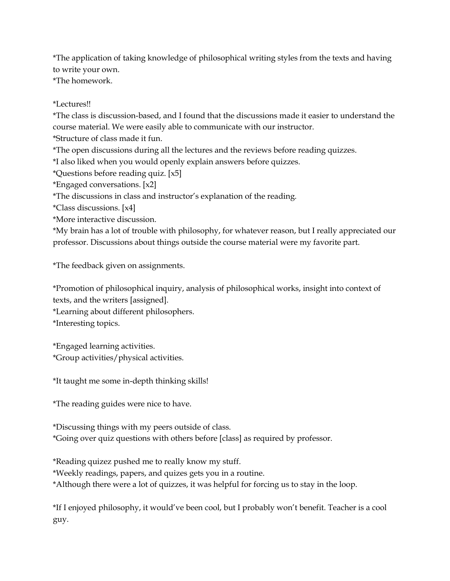\*The application of taking knowledge of philosophical writing styles from the texts and having to write your own.

\*The homework.

#### \*Lectures!!

\*The class is discussion-based, and I found that the discussions made it easier to understand the course material. We were easily able to communicate with our instructor.

\*Structure of class made it fun.

\*The open discussions during all the lectures and the reviews before reading quizzes.

\*I also liked when you would openly explain answers before quizzes.

\*Questions before reading quiz. [x5]

\*Engaged conversations. [x2]

\*The discussions in class and instructor's explanation of the reading.

\*Class discussions. [x4]

\*More interactive discussion.

\*My brain has a lot of trouble with philosophy, for whatever reason, but I really appreciated our professor. Discussions about things outside the course material were my favorite part.

\*The feedback given on assignments.

\*Promotion of philosophical inquiry, analysis of philosophical works, insight into context of texts, and the writers [assigned].

\*Learning about different philosophers.

\*Interesting topics.

\*Engaged learning activities. \*Group activities/physical activities.

\*It taught me some in-depth thinking skills!

\*The reading guides were nice to have.

\*Discussing things with my peers outside of class.

\*Going over quiz questions with others before [class] as required by professor.

\*Reading quizez pushed me to really know my stuff.

\*Weekly readings, papers, and quizes gets you in a routine.

\*Although there were a lot of quizzes, it was helpful for forcing us to stay in the loop.

\*If I enjoyed philosophy, it would've been cool, but I probably won't benefit. Teacher is a cool guy.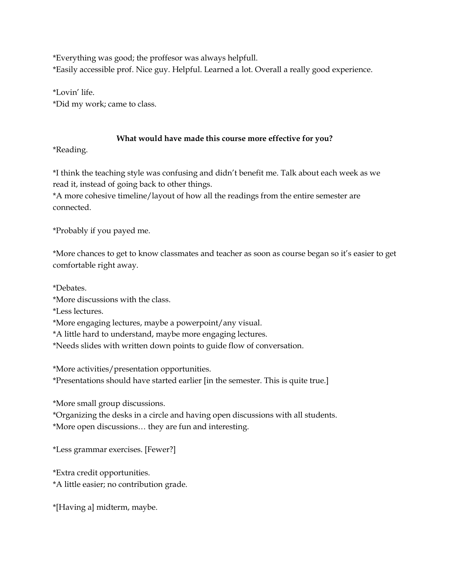\*Everything was good; the proffesor was always helpfull. \*Easily accessible prof. Nice guy. Helpful. Learned a lot. Overall a really good experience.

\*Lovin' life. \*Did my work; came to class.

## What would have made this course more effective for you?

\*Reading.

\*I think the teaching style was confusing and didn't benefit me. Talk about each week as we read it, instead of going back to other things.

\*A more cohesive timeline/layout of how all the readings from the entire semester are connected.

\*Probably if you payed me.

\*More chances to get to know classmates and teacher as soon as course began so it's easier to get comfortable right away.

\*Debates.

\*More discussions with the class.

\*Less lectures.

\*More engaging lectures, maybe a powerpoint/any visual.

\*A little hard to understand, maybe more engaging lectures.

\*Needs slides with written down points to guide flow of conversation.

\*More activities/presentation opportunities.

\*Presentations should have started earlier [in the semester. This is quite true.]

\*More small group discussions.

\*Organizing the desks in a circle and having open discussions with all students. \*More open discussions… they are fun and interesting.

\*Less grammar exercises. [Fewer?]

\*Extra credit opportunities.

\*A little easier; no contribution grade.

\*[Having a] midterm, maybe.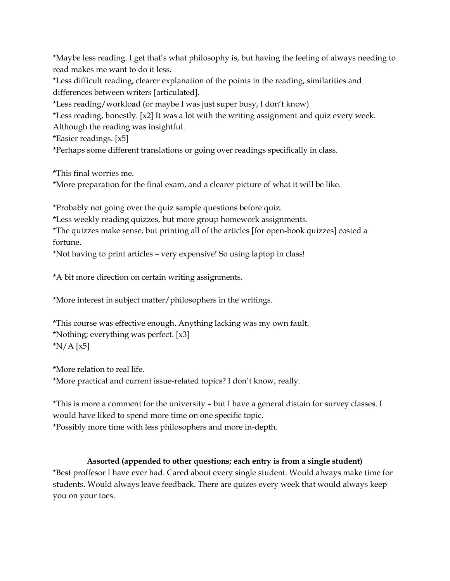\*Maybe less reading. I get that's what philosophy is, but having the feeling of always needing to read makes me want to do it less.

\*Less difficult reading, clearer explanation of the points in the reading, similarities and differences between writers [articulated].

\*Less reading/workload (or maybe I was just super busy, I don't know)

\*Less reading, honestly. [x2] It was a lot with the writing assignment and quiz every week. Although the reading was insightful.

\*Easier readings. [x5]

\*Perhaps some different translations or going over readings specifically in class.

\*This final worries me.

\*More preparation for the final exam, and a clearer picture of what it will be like.

\*Probably not going over the quiz sample questions before quiz.

\*Less weekly reading quizzes, but more group homework assignments.

\*The quizzes make sense, but printing all of the articles [for open-book quizzes] costed a fortune.

\*Not having to print articles – very expensive! So using laptop in class!

\*A bit more direction on certain writing assignments.

\*More interest in subject matter/philosophers in the writings.

```
*This course was effective enough. Anything lacking was my own fault. 
*Nothing; everything was perfect. [x3] 
*N/A [x5]
```
\*More relation to real life.

\*More practical and current issue-related topics? I don't know, really.

\*This is more a comment for the university – but I have a general distain for survey classes. I would have liked to spend more time on one specific topic. \*Possibly more time with less philosophers and more in-depth.

# Assorted (appended to other questions; each entry is from a single student)

\*Best proffesor I have ever had. Cared about every single student. Would always make time for students. Would always leave feedback. There are quizes every week that would always keep you on your toes.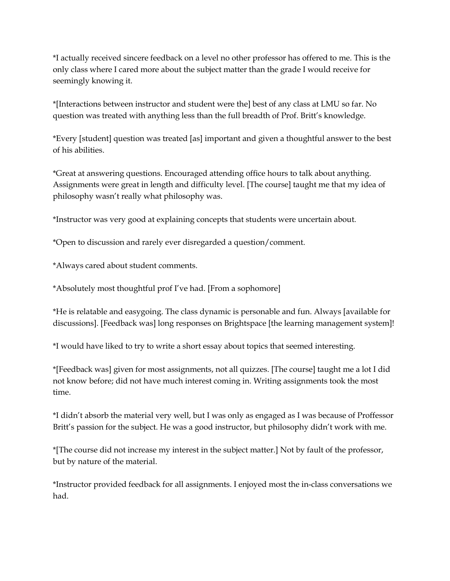\*I actually received sincere feedback on a level no other professor has offered to me. This is the only class where I cared more about the subject matter than the grade I would receive for seemingly knowing it.

\*[Interactions between instructor and student were the] best of any class at LMU so far. No question was treated with anything less than the full breadth of Prof. Britt's knowledge.

\*Every [student] question was treated [as] important and given a thoughtful answer to the best of his abilities.

\*Great at answering questions. Encouraged attending office hours to talk about anything. Assignments were great in length and difficulty level. [The course] taught me that my idea of philosophy wasn't really what philosophy was.

\*Instructor was very good at explaining concepts that students were uncertain about.

\*Open to discussion and rarely ever disregarded a question/comment.

\*Always cared about student comments.

\*Absolutely most thoughtful prof I've had. [From a sophomore]

\*He is relatable and easygoing. The class dynamic is personable and fun. Always [available for discussions]. [Feedback was] long responses on Brightspace [the learning management system]!

\*I would have liked to try to write a short essay about topics that seemed interesting.

\*[Feedback was] given for most assignments, not all quizzes. [The course] taught me a lot I did not know before; did not have much interest coming in. Writing assignments took the most time.

\*I didn't absorb the material very well, but I was only as engaged as I was because of Proffessor Britt's passion for the subject. He was a good instructor, but philosophy didn't work with me.

\*[The course did not increase my interest in the subject matter.] Not by fault of the professor, but by nature of the material.

\*Instructor provided feedback for all assignments. I enjoyed most the in-class conversations we had.